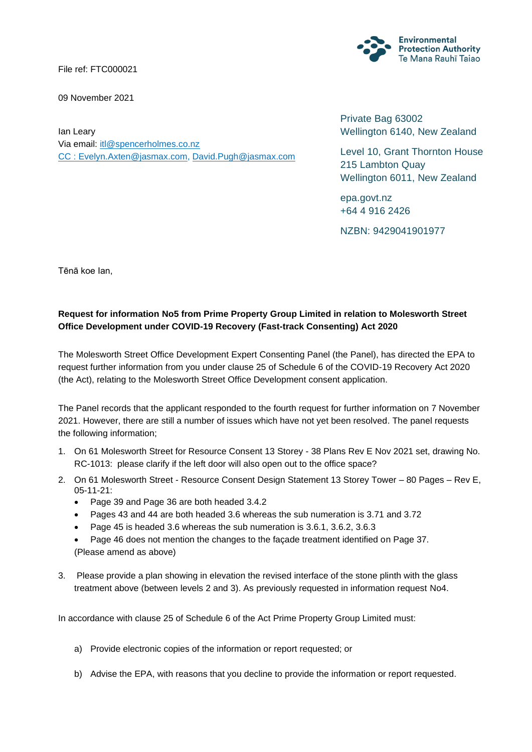File ref: FTC000021

09 November 2021



Ian Leary Via email: [itl@spencerholmes.co.nz](mailto:itl@spencerholmes.co.nz) CC : [Evelyn.Axten@jasmax.com,](mailto:Evelyn.Axten@jasmax.com) [David.Pugh@jasmax.com](mailto:David.Pugh@jasmax.com)

Private Bag 63002 Wellington 6140, New Zealand

Level 10, Grant Thornton House 215 Lambton Quay Wellington 6011, New Zealand

epa.govt.nz +64 4 916 2426

NZBN: 9429041901977

Tēnā koe Ian,

## **Request for information No5 from Prime Property Group Limited in relation to Molesworth Street Office Development under COVID-19 Recovery (Fast-track Consenting) Act 2020**

The Molesworth Street Office Development Expert Consenting Panel (the Panel), has directed the EPA to request further information from you under clause 25 of Schedule 6 of the COVID-19 Recovery Act 2020 (the Act), relating to the Molesworth Street Office Development consent application.

The Panel records that the applicant responded to the fourth request for further information on 7 November 2021. However, there are still a number of issues which have not yet been resolved. The panel requests the following information;

- 1. On 61 Molesworth Street for Resource Consent 13 Storey 38 Plans Rev E Nov 2021 set, drawing No. RC-1013: please clarify if the left door will also open out to the office space?
- 2. On 61 Molesworth Street Resource Consent Design Statement 13 Storey Tower 80 Pages Rev E, 05-11-21:
	- Page 39 and Page 36 are both headed 3.4.2
	- Pages 43 and 44 are both headed 3.6 whereas the sub numeration is 3.71 and 3.72
	- Page 45 is headed 3.6 whereas the sub numeration is 3.6.1, 3.6.2, 3.6.3
	- Page 46 does not mention the changes to the façade treatment identified on Page 37. (Please amend as above)
- 3. Please provide a plan showing in elevation the revised interface of the stone plinth with the glass treatment above (between levels 2 and 3). As previously requested in information request No4.

In accordance with clause 25 of Schedule 6 of the Act Prime Property Group Limited must:

- a) Provide electronic copies of the information or report requested; or
- b) Advise the EPA, with reasons that you decline to provide the information or report requested.